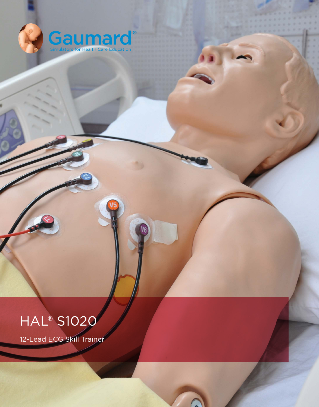

# **HAL<sup>®</sup> S1020**

12-Lead ECG Skill Trainer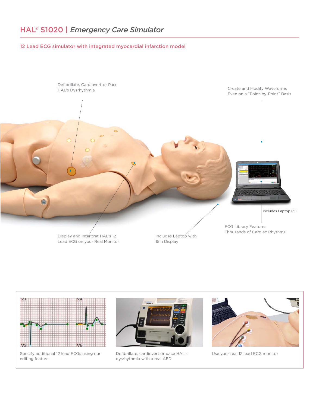## 12 Lead ECG simulator with integrated myocardial infarction model



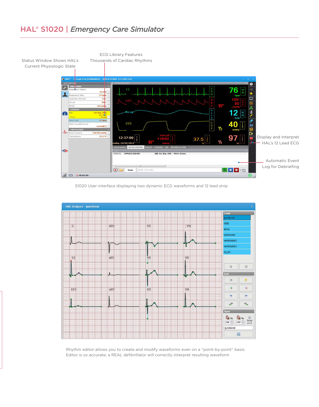# HAL® S1020 | *Emergency Care Simulator*



S1020 User interface displaying two dynamic ECG waveforms and 12 lead strip



Rhythm editor allows you to create and modify waveforms even on a "point-by-point" basis. Editor is so accurate; a REAL defibrillator will correctly interpret resulting waveform